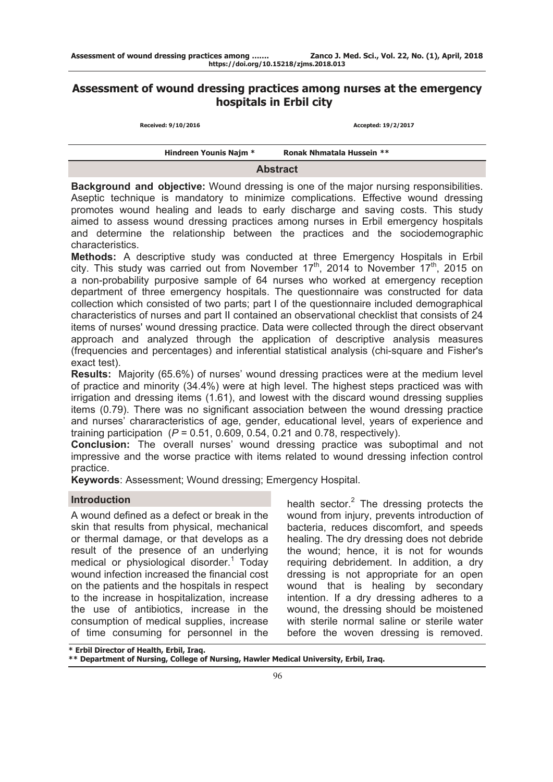# **Assessment of wound dressing practices among nurses at the emergency hospitals in Erbil city**

| Received: 9/10/2016 |  |  |
|---------------------|--|--|
|---------------------|--|--|

**Received: 9/10/2016 Accepted: 19/2/2017**

| <b>Hindreen Younis Najm *</b> | Ronak Nhmatala Hussein ** |  |
|-------------------------------|---------------------------|--|
| <b>Abstract</b>               |                           |  |

**Background and objective:** Wound dressing is one of the major nursing responsibilities. Aseptic technique is mandatory to minimize complications. Effective wound dressing promotes wound healing and leads to early discharge and saving costs. This study aimed to assess wound dressing practices among nurses in Erbil emergency hospitals and determine the relationship between the practices and the sociodemographic characteristics.

**Methods:** A descriptive study was conducted at three Emergency Hospitals in Erbil city. This study was carried out from November 17<sup>th</sup>, 2014 to November 17<sup>th</sup>, 2015 on a non-probability purposive sample of 64 nurses who worked at emergency reception department of three emergency hospitals. The questionnaire was constructed for data collection which consisted of two parts; part I of the questionnaire included demographical characteristics of nurses and part II contained an observational checklist that consists of 24 items of nurses' wound dressing practice. Data were collected through the direct observant approach and analyzed through the application of descriptive analysis measures (frequencies and percentages) and inferential statistical analysis (chi-square and Fisher's exact test).

**Results:** Majority (65.6%) of nurses' wound dressing practices were at the medium level of practice and minority (34.4%) were at high level. The highest steps practiced was with irrigation and dressing items (1.61), and lowest with the discard wound dressing supplies items (0.79). There was no significant association between the wound dressing practice and nurses' chararacteristics of age, gender, educational level, years of experience and training participation  $(P = 0.51, 0.609, 0.54, 0.21,$  and 0.78, respectively).

**Conclusion:** The overall nurses' wound dressing practice was suboptimal and not impressive and the worse practice with items related to wound dressing infection control practice.

**Keywords**: Assessment; Wound dressing; Emergency Hospital.

# **Introduction**

A wound defined as a defect or break in the skin that results from physical, mechanical or thermal damage, or that develops as a result of the presence of an underlying medical or physiological disorder.<sup>1</sup> Today wound infection increased the financial cost on the patients and the hospitals in respect to the increase in hospitalization, increase the use of antibiotics, increase in the consumption of medical supplies, increase of time consuming for personnel in the

health sector. $2$  The dressing protects the wound from injury, prevents introduction of bacteria, reduces discomfort, and speeds healing. The dry dressing does not debride the wound; hence, it is not for wounds requiring debridement. In addition, a dry dressing is not appropriate for an open wound that is healing by secondary intention. If a dry dressing adheres to a wound, the dressing should be moistened with sterile normal saline or sterile water before the woven dressing is removed.

**\* Erbil Director of Health, Erbil, Iraq.** 

**\*\* Department of Nursing, College of Nursing, Hawler Medical University, Erbil, Iraq.**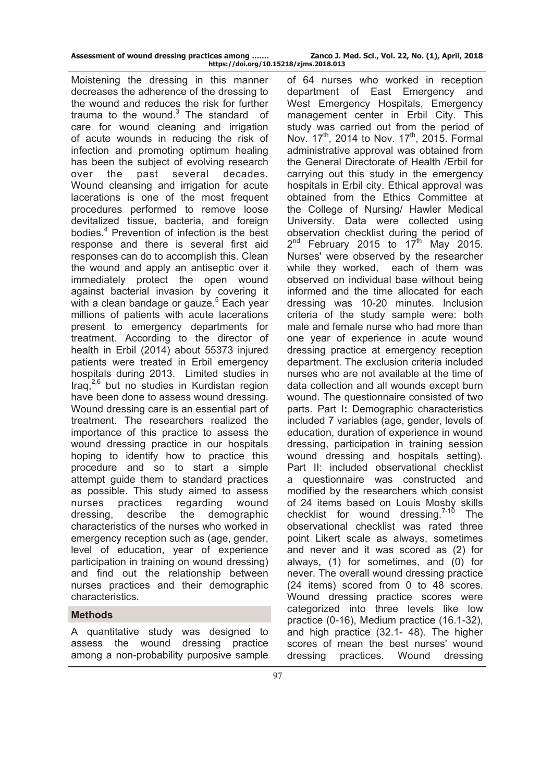| Assessment of wound dressing practices among |                            |
|----------------------------------------------|----------------------------|
|                                              | https://doi.org/10.15218/z |

Moistening the dressing in this manner decreases the adherence of the dressing to the wound and reduces the risk for further trauma to the wound. $3$  The standard of care for wound cleaning and irrigation of acute wounds in reducing the risk of infection and promoting optimum healing has been the subject of evolving research over the past several decades. Wound cleansing and irrigation for acute lacerations is one of the most frequent procedures performed to remove loose devitalized tissue, bacteria, and foreign bodies.<sup>4</sup> Prevention of infection is the best response and there is several first aid responses can do to accomplish this. Clean the wound and apply an antiseptic over it immediately protect the open wound against bacterial invasion by covering it with a clean bandage or gauze.<sup>5</sup> Each year millions of patients with acute lacerations present to emergency departments for treatment. According to the director of health in Erbil (2014) about 55373 injured patients were treated in Erbil emergency hospitals during 2013. Limited studies in Iraq, $^{2,6}$  but no studies in Kurdistan region have been done to assess wound dressing. Wound dressing care is an essential part of treatment. The researchers realized the importance of this practice to assess the wound dressing practice in our hospitals hoping to identify how to practice this procedure and so to start a simple attempt guide them to standard practices as possible. This study aimed to assess nurses practices regarding wound dressing, describe the demographic characteristics of the nurses who worked in emergency reception such as (age, gender, level of education, year of experience participation in training on wound dressing) and find out the relationship between nurses practices and their demographic characteristics.

# **Methods**

A quantitative study was designed to assess the wound dressing practice among a non-probability purposive sample

of 64 nurses who worked in reception department of East Emergency and West Emergency Hospitals, Emergency management center in Erbil City. This study was carried out from the period of Nov.  $17^{th}$ , 2014 to Nov.  $17^{th}$ , 2015. Formal administrative approval was obtained from the General Directorate of Health /Erbil for carrying out this study in the emergency hospitals in Erbil city. Ethical approval was obtained from the Ethics Committee at the College of Nursing/ Hawler Medical University. Data were collected using observation checklist during the period of  $2^{nd}$  February 2015 to 17<sup>th</sup> May 2015. Nurses' were observed by the researcher while they worked, each of them was observed on individual base without being informed and the time allocated for each dressing was 10-20 minutes. Inclusion criteria of the study sample were: both male and female nurse who had more than one year of experience in acute wound dressing practice at emergency reception department. The exclusion criteria included nurses who are not available at the time of data collection and all wounds except burn wound. The questionnaire consisted of two parts. Part I**:** Demographic characteristics included 7 variables (age, gender, levels of education, duration of experience in wound dressing, participation in training session wound dressing and hospitals setting). Part II: included observational checklist a questionnaire was constructed and modified by the researchers which consist of 24 items based on Louis Mosby skills checklist for wound dressing. $7-10$  The observational checklist was rated three point Likert scale as always, sometimes and never and it was scored as (2) for always, (1) for sometimes, and (0) for never. The overall wound dressing practice (24 items) scored from 0 to 48 scores. Wound dressing practice scores were categorized into three levels like low practice (0-16), Medium practice (16.1-32), and high practice (32.1- 48). The higher scores of mean the best nurses' wound dressing practices. Wound dressing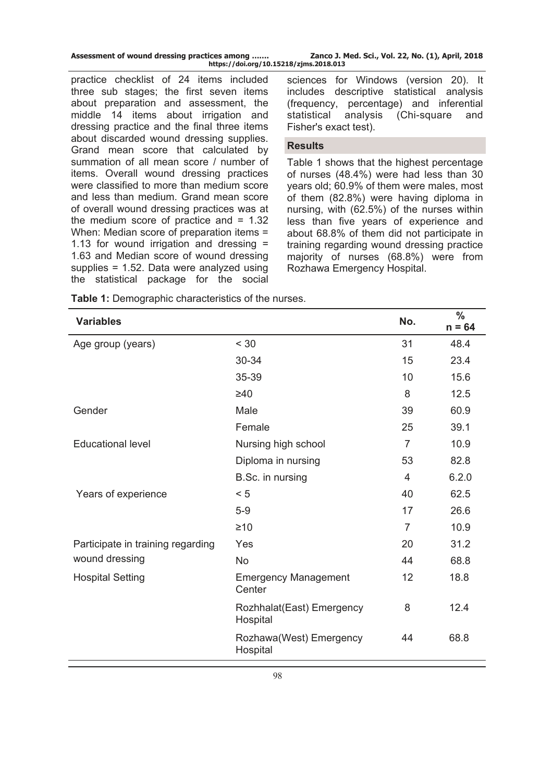| Assessment of wound dressing practices among | Zanco J. Med. Sci., Vol. 22, No. (1), April, 2018 |  |
|----------------------------------------------|---------------------------------------------------|--|
| https://doi.org/10.15218/zjms.2018.013       |                                                   |  |

practice checklist of 24 items included three sub stages; the first seven items about preparation and assessment, the middle 14 items about irrigation and dressing practice and the final three items about discarded wound dressing supplies. Grand mean score that calculated by summation of all mean score / number of items. Overall wound dressing practices were classified to more than medium score and less than medium. Grand mean score of overall wound dressing practices was at the medium score of practice and  $= 1.32$ When: Median score of preparation items = 1.13 for wound irrigation and dressing = 1.63 and Median score of wound dressing supplies = 1.52. Data were analyzed using the statistical package for the social

sciences for Windows (version 20). It includes descriptive statistical analysis (frequency, percentage) and inferential statistical analysis (Chi-square and Fisher's exact test).

### **Results**

Table 1 shows that the highest percentage of nurses (48.4%) were had less than 30 years old; 60.9% of them were males, most of them (82.8%) were having diploma in nursing, with (62.5%) of the nurses within less than five years of experience and about 68.8% of them did not participate in training regarding wound dressing practice majority of nurses (68.8%) were from Rozhawa Emergency Hospital.

| <b>Variables</b>                  |                                       | No.            | $\frac{0}{0}$<br>$n = 64$ |
|-----------------------------------|---------------------------------------|----------------|---------------------------|
| Age group (years)                 | < 30                                  | 31             | 48.4                      |
|                                   | 30-34                                 | 15             | 23.4                      |
|                                   | 35-39                                 | 10             | 15.6                      |
|                                   | $\geq 40$                             | 8              | 12.5                      |
| Gender                            | Male                                  | 39             | 60.9                      |
|                                   | Female                                | 25             | 39.1                      |
| <b>Educational level</b>          | Nursing high school                   | $\overline{7}$ | 10.9                      |
|                                   | Diploma in nursing                    | 53             | 82.8                      |
|                                   | B.Sc. in nursing                      | 4              | 6.2.0                     |
| Years of experience               | < 5                                   | 40             | 62.5                      |
|                                   | $5-9$                                 | 17             | 26.6                      |
|                                   | $\geq 10$                             | $\overline{7}$ | 10.9                      |
| Participate in training regarding | Yes                                   | 20             | 31.2                      |
| wound dressing                    | <b>No</b>                             | 44             | 68.8                      |
| <b>Hospital Setting</b>           | <b>Emergency Management</b><br>Center | 12             | 18.8                      |
|                                   | Rozhhalat(East) Emergency<br>Hospital | 8              | 12.4                      |
|                                   | Rozhawa(West) Emergency<br>Hospital   | 44             | 68.8                      |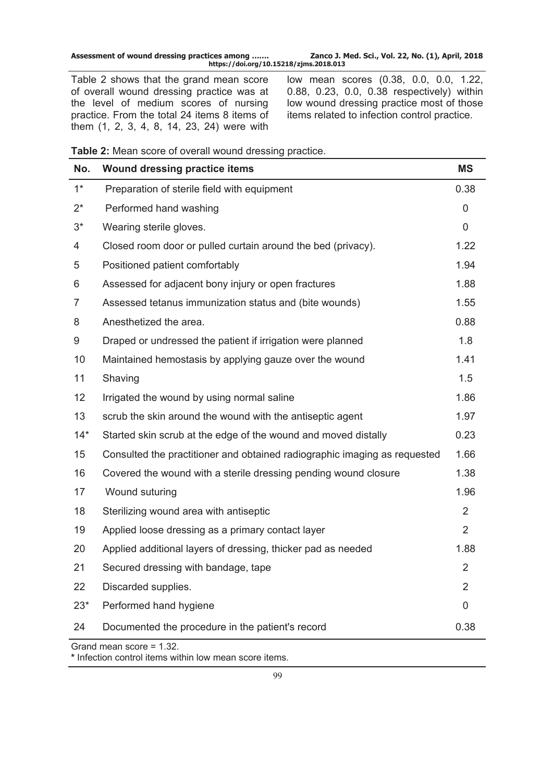| Assessment of wound dressing practices among | Zanco J. Med. Sci., Vol. 22, No. (1), April, 2018 |  |
|----------------------------------------------|---------------------------------------------------|--|
| https://doi.org/10.15218/zjms.2018.013       |                                                   |  |

Table 2 shows that the grand mean score of overall wound dressing practice was at the level of medium scores of nursing practice. From the total 24 items 8 items of them (1, 2, 3, 4, 8, 14, 23, 24) were with

low mean scores (0.38, 0.0, 0.0, 1.22, 0.88, 0.23, 0.0, 0.38 respectively) within low wound dressing practice most of those items related to infection control practice.

| Table 2: Mean score of overall wound dressing practice. |  |
|---------------------------------------------------------|--|
|---------------------------------------------------------|--|

| No.   | <b>Wound dressing practice items</b>                                      | <b>MS</b>      |
|-------|---------------------------------------------------------------------------|----------------|
| $1^*$ | Preparation of sterile field with equipment                               | 0.38           |
| $2^*$ | Performed hand washing                                                    | 0              |
| $3^*$ | Wearing sterile gloves.                                                   | 0              |
| 4     | Closed room door or pulled curtain around the bed (privacy).              | 1.22           |
| 5     | Positioned patient comfortably                                            | 1.94           |
| 6     | Assessed for adjacent bony injury or open fractures                       | 1.88           |
| 7     | Assessed tetanus immunization status and (bite wounds)                    | 1.55           |
| 8     | Anesthetized the area.                                                    | 0.88           |
| 9     | Draped or undressed the patient if irrigation were planned                | 1.8            |
| 10    | Maintained hemostasis by applying gauze over the wound                    | 1.41           |
| 11    | Shaving                                                                   | 1.5            |
| 12    | Irrigated the wound by using normal saline                                | 1.86           |
| 13    | scrub the skin around the wound with the antiseptic agent                 | 1.97           |
| $14*$ | Started skin scrub at the edge of the wound and moved distally            | 0.23           |
| 15    | Consulted the practitioner and obtained radiographic imaging as requested | 1.66           |
| 16    | Covered the wound with a sterile dressing pending wound closure           | 1.38           |
| 17    | Wound suturing                                                            | 1.96           |
| 18    | Sterilizing wound area with antiseptic                                    | $\overline{2}$ |
| 19    | Applied loose dressing as a primary contact layer                         | $\overline{2}$ |
| 20    | Applied additional layers of dressing, thicker pad as needed              | 1.88           |
| 21    | Secured dressing with bandage, tape                                       | $\overline{2}$ |
| 22    | Discarded supplies.                                                       | 2              |
| $23*$ | Performed hand hygiene                                                    | 0              |
| 24    | Documented the procedure in the patient's record                          | 0.38           |
|       | Grand mean score = 1.32.                                                  |                |

**\*** Infection control items within low mean score items.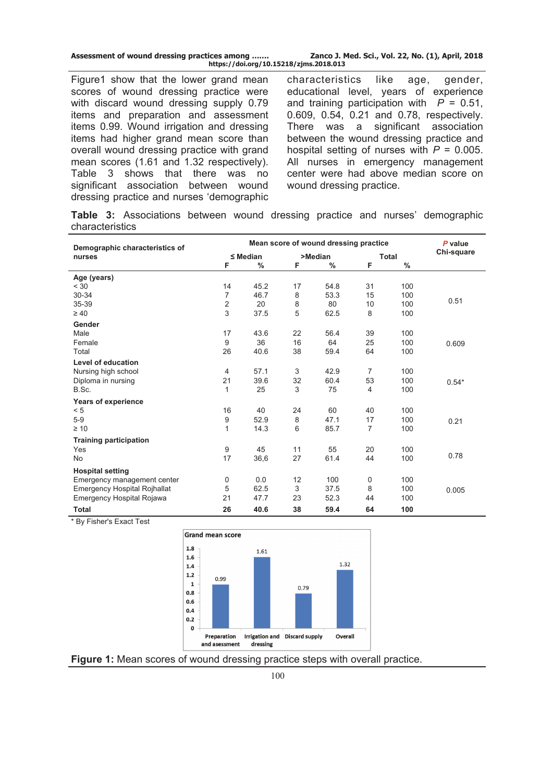| Assessment of wound dressing practices among | Zanco J. Med. Sci., Vol. 22, No. (1), April, 2018 |
|----------------------------------------------|---------------------------------------------------|
| https://doi.org/10.15218/zjms.2018.013       |                                                   |

Figure1 show that the lower grand mean scores of wound dressing practice were with discard wound dressing supply 0.79 items and preparation and assessment items 0.99. Wound irrigation and dressing items had higher grand mean score than overall wound dressing practice with grand mean scores (1.61 and 1.32 respectively). Table 3 shows that there was no significant association between wound dressing practice and nurses 'demographic

characteristics like age, gender, educational level, years of experience and training participation with  $P = 0.51$ , 0.609, 0.54, 0.21 and 0.78, respectively. There was a significant association between the wound dressing practice and hospital setting of nurses with *P* = 0.005. All nurses in emergency management center were had above median score on wound dressing practice.

**Table 3:** Associations between wound dressing practice and nurses' demographic characteristics

| Demographic characteristics of   | Mean score of wound dressing practice |               |         |      | P value      |      |            |
|----------------------------------|---------------------------------------|---------------|---------|------|--------------|------|------------|
| nurses                           | $\leq$ Median                         |               | >Median |      | <b>Total</b> |      | Chi-square |
|                                  | F                                     | $\frac{0}{0}$ | F       | %    | F            | $\%$ |            |
| Age (years)                      |                                       |               |         |      |              |      |            |
| < 30                             | 14                                    | 45.2          | 17      | 54.8 | 31           | 100  |            |
| 30-34                            | 7                                     | 46.7          | 8       | 53.3 | 15           | 100  |            |
| 35-39                            | $\overline{c}$                        | 20            | 8       | 80   | 10           | 100  | 0.51       |
| $\geq 40$                        | 3                                     | 37.5          | 5       | 62.5 | 8            | 100  |            |
| Gender                           |                                       |               |         |      |              |      |            |
| Male                             | 17                                    | 43.6          | 22      | 56.4 | 39           | 100  |            |
| Female                           | 9                                     | 36            | 16      | 64   | 25           | 100  | 0.609      |
| Total                            | 26                                    | 40.6          | 38      | 59.4 | 64           | 100  |            |
| Level of education               |                                       |               |         |      |              |      |            |
| Nursing high school              | 4                                     | 57.1          | 3       | 42.9 | 7            | 100  |            |
| Diploma in nursing               | 21                                    | 39.6          | 32      | 60.4 | 53           | 100  | $0.54*$    |
| B.Sc.                            | 1                                     | 25            | 3       | 75   | 4            | 100  |            |
| Years of experience              |                                       |               |         |      |              |      |            |
| < 5                              | 16                                    | 40            | 24      | 60   | 40           | 100  |            |
| $5-9$                            | 9                                     | 52.9          | 8       | 47.1 | 17           | 100  | 0.21       |
| $\geq 10$                        | 1                                     | 14.3          | 6       | 85.7 | 7            | 100  |            |
| <b>Training participation</b>    |                                       |               |         |      |              |      |            |
| Yes                              | 9                                     | 45            | 11      | 55   | 20           | 100  |            |
| <b>No</b>                        | 17                                    | 36,6          | 27      | 61.4 | 44           | 100  | 0.78       |
| <b>Hospital setting</b>          |                                       |               |         |      |              |      |            |
| Emergency management center      | 0                                     | 0.0           | 12      | 100  | 0            | 100  |            |
| Emergency Hospital Rojhallat     | 5                                     | 62.5          | 3       | 37.5 | 8            | 100  | 0.005      |
| <b>Emergency Hospital Rojawa</b> | 21                                    | 47.7          | 23      | 52.3 | 44           | 100  |            |
| <b>Total</b>                     | 26                                    | 40.6          | 38      | 59.4 | 64           | 100  |            |

\* By Fisher's Exact Test



**Figure 1:** Mean scores of wound dressing practice steps with overall practice.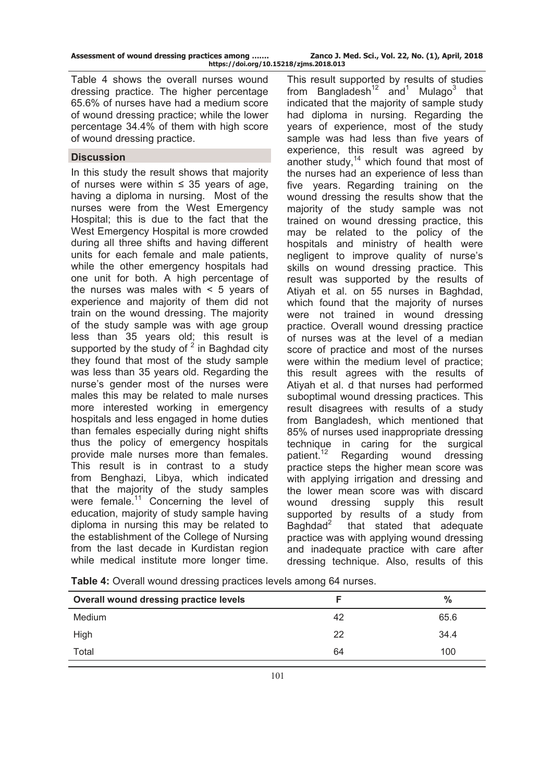|  | Assessment of wound dressing practices among |  |
|--|----------------------------------------------|--|
|  | https://doi.org/10.15218                     |  |

Table 4 shows the overall nurses wound dressing practice. The higher percentage 65.6% of nurses have had a medium score of wound dressing practice; while the lower percentage 34.4% of them with high score of wound dressing practice.

### **Discussion**

In this study the result shows that majority of nurses were within  $\leq$  35 years of age, having a diploma in nursing. Most of the nurses were from the West Emergency Hospital; this is due to the fact that the West Emergency Hospital is more crowded during all three shifts and having different units for each female and male patients, while the other emergency hospitals had one unit for both. A high percentage of the nurses was males with  $\leq 5$  vears of experience and majority of them did not train on the wound dressing. The majority of the study sample was with age group less than 35 years old; this result is supported by the study of  $2$  in Baghdad city they found that most of the study sample was less than 35 years old. Regarding the nurse's gender most of the nurses were males this may be related to male nurses more interested working in emergency hospitals and less engaged in home duties than females especially during night shifts thus the policy of emergency hospitals provide male nurses more than females. This result is in contrast to a study from Benghazi, Libya, which indicated that the majority of the study samples were female.<sup>11</sup> Concerning the level of education, majority of study sample having diploma in nursing this may be related to the establishment of the College of Nursing from the last decade in Kurdistan region while medical institute more longer time.

This result supported by results of studies from Bangladesh<sup>12</sup> and<sup>1</sup> Mulago<sup>3</sup> that indicated that the majority of sample study had diploma in nursing. Regarding the years of experience, most of the study sample was had less than five years of experience, this result was agreed by another study, $14$  which found that most of the nurses had an experience of less than five years. Regarding training on the wound dressing the results show that the majority of the study sample was not trained on wound dressing practice, this may be related to the policy of the hospitals and ministry of health were negligent to improve quality of nurse's skills on wound dressing practice. This result was supported by the results of Atiyah et al. on 55 nurses in Baghdad, which found that the majority of nurses were not trained in wound dressing practice. Overall wound dressing practice of nurses was at the level of a median score of practice and most of the nurses were within the medium level of practice; this result agrees with the results of Atiyah et al. d that nurses had performed suboptimal wound dressing practices. This result disagrees with results of a study from Bangladesh, which mentioned that 85% of nurses used inappropriate dressing technique in caring for the surgical patient.<sup>12</sup> Regarding wound dressing Regarding wound dressing practice steps the higher mean score was with applying irrigation and dressing and the lower mean score was with discard wound dressing supply this result supported by results of a study from Baghdad<sup>2</sup> that stated that adequate practice was with applying wound dressing and inadequate practice with care after dressing technique. Also, results of this

| Overall wound dressing practice levels |    | $\frac{0}{0}$ |
|----------------------------------------|----|---------------|
| Medium                                 | 42 | 65.6          |
| High                                   | 22 | 34.4          |
| Total                                  | 64 | 100           |
|                                        |    |               |

**Table 4:** Overall wound dressing practices levels among 64 nurses.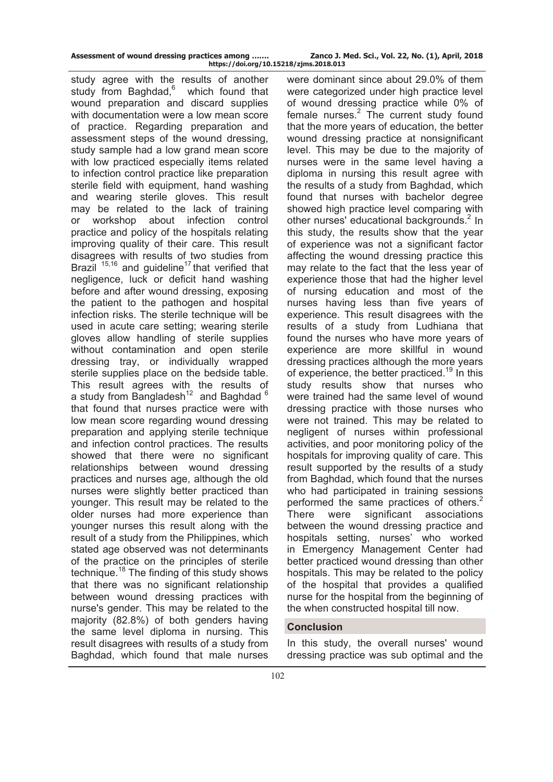| Assessment of wound dressing practices among |                        |
|----------------------------------------------|------------------------|
|                                              | https://doi.org/10.152 |

study agree with the results of another study from Baghdad.<sup>6</sup> which found that wound preparation and discard supplies with documentation were a low mean score of practice. Regarding preparation and assessment steps of the wound dressing, study sample had a low grand mean score with low practiced especially items related to infection control practice like preparation sterile field with equipment, hand washing and wearing sterile gloves. This result may be related to the lack of training or workshop about infection control practice and policy of the hospitals relating improving quality of their care. This result disagrees with results of two studies from Brazil  $15,16$  and guideline<sup>17</sup> that verified that negligence, luck or deficit hand washing before and after wound dressing, exposing the patient to the pathogen and hospital infection risks. The sterile technique will be used in acute care setting; wearing sterile gloves allow handling of sterile supplies without contamination and open sterile dressing tray, or individually wrapped sterile supplies place on the bedside table. This result agrees with the results of a study from Bangladesh<sup>12</sup> and Baghdad  $6$ that found that nurses practice were with low mean score regarding wound dressing preparation and applying sterile technique and infection control practices. The results showed that there were no significant relationships between wound dressing practices and nurses age, although the old nurses were slightly better practiced than younger. This result may be related to the older nurses had more experience than younger nurses this result along with the result of a study from the Philippines, which stated age observed was not determinants of the practice on the principles of sterile technique.<sup>18</sup> The finding of this study shows that there was no significant relationship between wound dressing practices with nurse's gender. This may be related to the majority (82.8%) of both genders having the same level diploma in nursing. This result disagrees with results of a study from Baghdad, which found that male nurses

were dominant since about 29.0% of them were categorized under high practice level of wound dressing practice while 0% of female nurses. $2$  The current study found that the more years of education, the better wound dressing practice at nonsignificant level. This may be due to the majority of nurses were in the same level having a diploma in nursing this result agree with the results of a study from Baghdad, which found that nurses with bachelor degree showed high practice level comparing with other nurses' educational backgrounds.<sup>2</sup> In this study, the results show that the year of experience was not a significant factor affecting the wound dressing practice this may relate to the fact that the less year of experience those that had the higher level of nursing education and most of the nurses having less than five years of experience. This result disagrees with the results of a study from Ludhiana that found the nurses who have more years of experience are more skillful in wound dressing practices although the more years of experience, the better practiced.<sup>19</sup> In this study results show that nurses who were trained had the same level of wound dressing practice with those nurses who were not trained. This may be related to negligent of nurses within professional activities, and poor monitoring policy of the hospitals for improving quality of care. This result supported by the results of a study from Baghdad, which found that the nurses who had participated in training sessions performed the same practices of others.<sup>2</sup> There were significant associations between the wound dressing practice and hospitals setting, nurses' who worked in Emergency Management Center had better practiced wound dressing than other hospitals. This may be related to the policy of the hospital that provides a qualified nurse for the hospital from the beginning of the when constructed hospital till now.

# **Conclusion**

In this study, the overall nurses' wound dressing practice was sub optimal and the